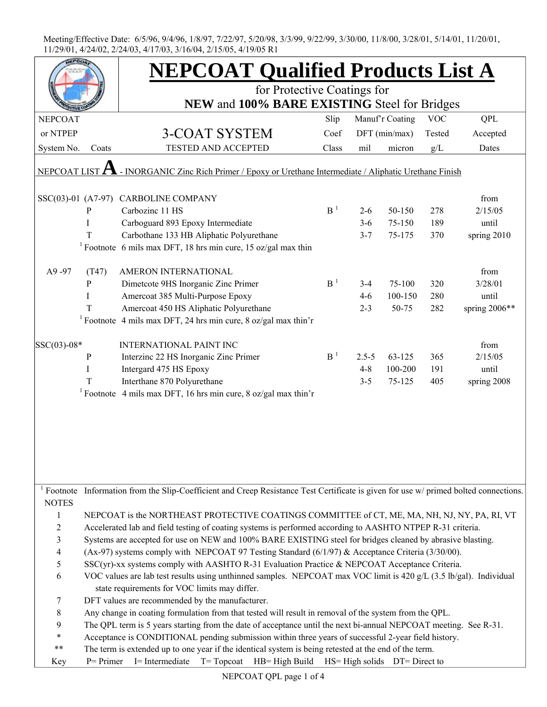|                         |                                                                                                                    | <b>NEPCOAT Qualified Products List A</b>                                                                                            |                |           |                 |            |               |  |  |  |
|-------------------------|--------------------------------------------------------------------------------------------------------------------|-------------------------------------------------------------------------------------------------------------------------------------|----------------|-----------|-----------------|------------|---------------|--|--|--|
|                         |                                                                                                                    | for Protective Coatings for                                                                                                         |                |           |                 |            |               |  |  |  |
|                         |                                                                                                                    | NEW and 100% BARE EXISTING Steel for Bridges                                                                                        |                |           |                 |            |               |  |  |  |
| <b>NEPCOAT</b>          |                                                                                                                    |                                                                                                                                     | Slip           |           | Manuf'r Coating | <b>VOC</b> | <b>QPL</b>    |  |  |  |
| or NTPEP                |                                                                                                                    | <b>3-COAT SYSTEM</b>                                                                                                                | Coef           |           | DFT (min/max)   | Tested     | Accepted      |  |  |  |
| System No.              | Coats                                                                                                              | <b>TESTED AND ACCEPTED</b>                                                                                                          | Class          | mil       | micron          | g/L        | Dates         |  |  |  |
|                         |                                                                                                                    |                                                                                                                                     |                |           |                 |            |               |  |  |  |
| NEPCOAT LIST $\bm{A}$   |                                                                                                                    | - INORGANIC Zinc Rich Primer / Epoxy or Urethane Intermediate / Aliphatic Urethane Finish                                           |                |           |                 |            |               |  |  |  |
|                         |                                                                                                                    |                                                                                                                                     |                |           |                 |            |               |  |  |  |
|                         |                                                                                                                    | SSC(03)-01 (A7-97) CARBOLINE COMPANY                                                                                                |                |           |                 |            | from          |  |  |  |
|                         | P                                                                                                                  | Carbozinc 11 HS                                                                                                                     | B <sup>1</sup> | $2 - 6$   | 50-150          | 278        | 2/15/05       |  |  |  |
|                         | I                                                                                                                  | Carboguard 893 Epoxy Intermediate                                                                                                   |                | $3 - 6$   | 75-150          | 189        | until         |  |  |  |
|                         | T                                                                                                                  | Carbothane 133 HB Aliphatic Polyurethane                                                                                            |                | $3 - 7$   | 75-175          | 370        | spring 2010   |  |  |  |
|                         |                                                                                                                    | <sup>1</sup> Footnote 6 mils max DFT, 18 hrs min cure, 15 oz/gal max thin                                                           |                |           |                 |            |               |  |  |  |
| A9-97                   | (T47)                                                                                                              | AMERON INTERNATIONAL                                                                                                                |                |           |                 |            | from          |  |  |  |
|                         | P                                                                                                                  | Dimetcote 9HS Inorganic Zinc Primer                                                                                                 | B <sup>1</sup> | $3-4$     | 75-100          | 320        | 3/28/01       |  |  |  |
|                         |                                                                                                                    |                                                                                                                                     |                |           | 100-150         | 280        |               |  |  |  |
|                         | I                                                                                                                  | Amercoat 385 Multi-Purpose Epoxy                                                                                                    |                | $4 - 6$   |                 |            | until         |  |  |  |
|                         | T                                                                                                                  | Amercoat 450 HS Aliphatic Polyurethane                                                                                              |                | $2 - 3$   | 50-75           | 282        | spring 2006** |  |  |  |
|                         |                                                                                                                    | <sup>1</sup> Footnote 4 mils max DFT, 24 hrs min cure, 8 oz/gal max thin'r                                                          |                |           |                 |            |               |  |  |  |
| $SSC(03)-08*$           |                                                                                                                    | <b>INTERNATIONAL PAINT INC</b>                                                                                                      |                |           |                 |            | from          |  |  |  |
|                         | P                                                                                                                  | Interzinc 22 HS Inorganic Zinc Primer                                                                                               | B <sup>1</sup> | $2.5 - 5$ | 63-125          | 365        | 2/15/05       |  |  |  |
|                         | I                                                                                                                  | Intergard 475 HS Epoxy                                                                                                              |                | $4 - 8$   | 100-200         | 191        | until         |  |  |  |
|                         | T                                                                                                                  | Interthane 870 Polyurethane                                                                                                         |                | $3 - 5$   | 75-125          | 405        | spring 2008   |  |  |  |
|                         |                                                                                                                    | <sup>1</sup> Footnote 4 mils max DFT, 16 hrs min cure, 8 oz/gal max thin'r                                                          |                |           |                 |            |               |  |  |  |
|                         |                                                                                                                    |                                                                                                                                     |                |           |                 |            |               |  |  |  |
|                         |                                                                                                                    |                                                                                                                                     |                |           |                 |            |               |  |  |  |
|                         |                                                                                                                    |                                                                                                                                     |                |           |                 |            |               |  |  |  |
|                         |                                                                                                                    |                                                                                                                                     |                |           |                 |            |               |  |  |  |
|                         |                                                                                                                    |                                                                                                                                     |                |           |                 |            |               |  |  |  |
|                         |                                                                                                                    |                                                                                                                                     |                |           |                 |            |               |  |  |  |
|                         |                                                                                                                    |                                                                                                                                     |                |           |                 |            |               |  |  |  |
|                         |                                                                                                                    | Footnote Information from the Slip-Coefficient and Creep Resistance Test Certificate is given for use w/ primed bolted connections. |                |           |                 |            |               |  |  |  |
| <b>NOTES</b>            |                                                                                                                    |                                                                                                                                     |                |           |                 |            |               |  |  |  |
| 1                       |                                                                                                                    |                                                                                                                                     |                |           |                 |            |               |  |  |  |
| $\overline{c}$          | NEPCOAT is the NORTHEAST PROTECTIVE COATINGS COMMITTEE of CT, ME, MA, NH, NJ, NY, PA, RI, VT                       |                                                                                                                                     |                |           |                 |            |               |  |  |  |
| $\overline{\mathbf{3}}$ | Accelerated lab and field testing of coating systems is performed according to AASHTO NTPEP R-31 criteria.         |                                                                                                                                     |                |           |                 |            |               |  |  |  |
|                         | Systems are accepted for use on NEW and 100% BARE EXISTING steel for bridges cleaned by abrasive blasting.         |                                                                                                                                     |                |           |                 |            |               |  |  |  |
| 4                       | (Ax-97) systems comply with NEPCOAT 97 Testing Standard (6/1/97) & Acceptance Criteria (3/30/00).                  |                                                                                                                                     |                |           |                 |            |               |  |  |  |
| 5                       | SSC(yr)-xx systems comply with AASHTO R-31 Evaluation Practice & NEPCOAT Acceptance Criteria.                      |                                                                                                                                     |                |           |                 |            |               |  |  |  |
| 6                       | VOC values are lab test results using unthinned samples. NEPCOAT max VOC limit is 420 g/L (3.5 lb/gal). Individual |                                                                                                                                     |                |           |                 |            |               |  |  |  |
|                         | state requirements for VOC limits may differ.                                                                      |                                                                                                                                     |                |           |                 |            |               |  |  |  |
| 7                       | DFT values are recommended by the manufacturer.                                                                    |                                                                                                                                     |                |           |                 |            |               |  |  |  |
| $\,$ $\,$               | Any change in coating formulation from that tested will result in removal of the system from the QPL.              |                                                                                                                                     |                |           |                 |            |               |  |  |  |
| 9                       | The QPL term is 5 years starting from the date of acceptance until the next bi-annual NEPCOAT meeting. See R-31.   |                                                                                                                                     |                |           |                 |            |               |  |  |  |
| $\ast$                  | Acceptance is CONDITIONAL pending submission within three years of successful 2-year field history.                |                                                                                                                                     |                |           |                 |            |               |  |  |  |
| $***$                   |                                                                                                                    | The term is extended up to one year if the identical system is being retested at the end of the term.                               |                |           |                 |            |               |  |  |  |
| Key                     |                                                                                                                    | $P =$ Primer I = Intermediate T = Topcoat HB = High Build HS = High solids DT = Direct to                                           |                |           |                 |            |               |  |  |  |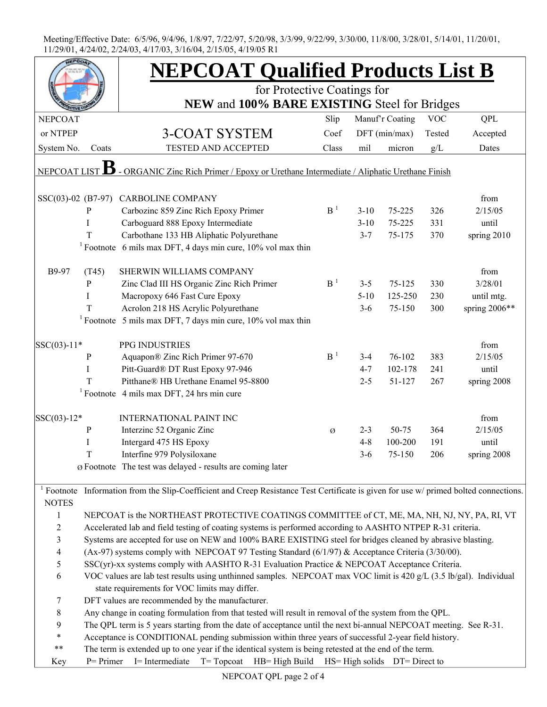|                    |                                                                                                                  | <b>NEPCOAT Qualified Products List B</b>                                                                                                         |                |          |                 |            |                 |  |  |
|--------------------|------------------------------------------------------------------------------------------------------------------|--------------------------------------------------------------------------------------------------------------------------------------------------|----------------|----------|-----------------|------------|-----------------|--|--|
|                    |                                                                                                                  | for Protective Coatings for                                                                                                                      |                |          |                 |            |                 |  |  |
|                    |                                                                                                                  | NEW and 100% BARE EXISTING Steel for Bridges                                                                                                     |                |          |                 |            |                 |  |  |
| <b>NEPCOAT</b>     |                                                                                                                  |                                                                                                                                                  | Slip           |          | Manuf'r Coating | <b>VOC</b> | QPL             |  |  |
| or NTPEP           |                                                                                                                  | 3-COAT SYSTEM                                                                                                                                    | Coef           |          | DFT (min/max)   | Tested     | Accepted        |  |  |
| System No.         | Coats                                                                                                            | <b>TESTED AND ACCEPTED</b>                                                                                                                       | Class          | mil      | micron          | g/L        | Dates           |  |  |
| <b>NEPCOAT LIS</b> |                                                                                                                  | - ORGANIC Zinc Rich Primer / Epoxy or Urethane Intermediate / Aliphatic Urethane Finish                                                          |                |          |                 |            |                 |  |  |
|                    |                                                                                                                  |                                                                                                                                                  |                |          |                 |            |                 |  |  |
| SSC(03)-02 (B7-97) |                                                                                                                  | CARBOLINE COMPANY                                                                                                                                |                |          |                 |            | from            |  |  |
|                    | P                                                                                                                | Carbozinc 859 Zinc Rich Epoxy Primer                                                                                                             | B <sup>1</sup> | $3 - 10$ | 75-225          | 326        | 2/15/05         |  |  |
|                    | T                                                                                                                | Carboguard 888 Epoxy Intermediate                                                                                                                |                | $3 - 10$ | 75-225          | 331        | until           |  |  |
|                    | T                                                                                                                | Carbothane 133 HB Aliphatic Polyurethane                                                                                                         |                | $3 - 7$  | 75-175          | 370        | spring 2010     |  |  |
|                    |                                                                                                                  | <sup>1</sup> Footnote 6 mils max DFT, 4 days min cure, $10\%$ vol max thin                                                                       |                |          |                 |            |                 |  |  |
| B9-97              | (T45)                                                                                                            | SHERWIN WILLIAMS COMPANY                                                                                                                         |                |          |                 |            | from            |  |  |
|                    | P                                                                                                                | Zinc Clad III HS Organic Zinc Rich Primer                                                                                                        | B <sup>1</sup> | $3 - 5$  | $75 - 125$      | 330        | 3/28/01         |  |  |
|                    | I                                                                                                                | Macropoxy 646 Fast Cure Epoxy                                                                                                                    |                | $5 - 10$ | 125-250         | 230        | until mtg.      |  |  |
|                    | T                                                                                                                | Acrolon 218 HS Acrylic Polyurethane                                                                                                              |                | $3-6$    | 75-150          | 300        | spring $2006**$ |  |  |
|                    |                                                                                                                  | <sup>1</sup> Footnote 5 mils max DFT, 7 days min cure, $10\%$ vol max thin                                                                       |                |          |                 |            |                 |  |  |
| $ SSC(03)-11*$     |                                                                                                                  | PPG INDUSTRIES                                                                                                                                   |                |          |                 |            | from            |  |  |
|                    | $\mathbf P$                                                                                                      | Aquapon® Zinc Rich Primer 97-670                                                                                                                 | B <sup>1</sup> | $3-4$    | 76-102          | 383        | 2/15/05         |  |  |
|                    | $\rm I$                                                                                                          | Pitt-Guard® DT Rust Epoxy 97-946                                                                                                                 |                | $4 - 7$  | 102-178         | 241        | until           |  |  |
|                    | T                                                                                                                | Pitthane® HB Urethane Enamel 95-8800                                                                                                             |                | $2 - 5$  | 51-127          | 267        | spring 2008     |  |  |
|                    |                                                                                                                  | <sup>1</sup> Footnote 4 mils max DFT, 24 hrs min cure                                                                                            |                |          |                 |            |                 |  |  |
|                    |                                                                                                                  | <b>INTERNATIONAL PAINT INC</b>                                                                                                                   |                |          |                 |            | from            |  |  |
| $ SSC(03)-12*$     |                                                                                                                  |                                                                                                                                                  |                |          | 50-75           | 364        |                 |  |  |
|                    | P                                                                                                                | Interzinc 52 Organic Zinc                                                                                                                        | Ø              | $2 - 3$  | 100-200         | 191        | 2/15/05         |  |  |
|                    | I                                                                                                                | Intergard 475 HS Epoxy                                                                                                                           |                | $4 - 8$  |                 |            | until           |  |  |
|                    | T                                                                                                                | Interfine 979 Polysiloxane                                                                                                                       |                | $3 - 6$  | 75-150          | 206        | spring 2008     |  |  |
|                    |                                                                                                                  | $\varnothing$ Footnote The test was delayed - results are coming later                                                                           |                |          |                 |            |                 |  |  |
| <b>NOTES</b>       |                                                                                                                  | <sup>1</sup> Footnote Information from the Slip-Coefficient and Creep Resistance Test Certificate is given for use w/ primed bolted connections. |                |          |                 |            |                 |  |  |
| $\mathbf{1}$       |                                                                                                                  | NEPCOAT is the NORTHEAST PROTECTIVE COATINGS COMMITTEE of CT, ME, MA, NH, NJ, NY, PA, RI, VT                                                     |                |          |                 |            |                 |  |  |
| $\boldsymbol{2}$   |                                                                                                                  | Accelerated lab and field testing of coating systems is performed according to AASHTO NTPEP R-31 criteria.                                       |                |          |                 |            |                 |  |  |
| $\mathfrak{Z}$     |                                                                                                                  | Systems are accepted for use on NEW and 100% BARE EXISTING steel for bridges cleaned by abrasive blasting.                                       |                |          |                 |            |                 |  |  |
| $\overline{4}$     |                                                                                                                  | (Ax-97) systems comply with NEPCOAT 97 Testing Standard (6/1/97) & Acceptance Criteria (3/30/00).                                                |                |          |                 |            |                 |  |  |
| 5                  | SSC(yr)-xx systems comply with AASHTO R-31 Evaluation Practice & NEPCOAT Acceptance Criteria.                    |                                                                                                                                                  |                |          |                 |            |                 |  |  |
| 6                  |                                                                                                                  | VOC values are lab test results using unthinned samples. NEPCOAT max VOC limit is 420 g/L (3.5 lb/gal). Individual                               |                |          |                 |            |                 |  |  |
|                    |                                                                                                                  | state requirements for VOC limits may differ.                                                                                                    |                |          |                 |            |                 |  |  |
| 7                  | DFT values are recommended by the manufacturer.                                                                  |                                                                                                                                                  |                |          |                 |            |                 |  |  |
| $8\,$              | Any change in coating formulation from that tested will result in removal of the system from the QPL.            |                                                                                                                                                  |                |          |                 |            |                 |  |  |
| 9                  | The QPL term is 5 years starting from the date of acceptance until the next bi-annual NEPCOAT meeting. See R-31. |                                                                                                                                                  |                |          |                 |            |                 |  |  |
| $\ast$             | Acceptance is CONDITIONAL pending submission within three years of successful 2-year field history.              |                                                                                                                                                  |                |          |                 |            |                 |  |  |
| $***$              |                                                                                                                  | The term is extended up to one year if the identical system is being retested at the end of the term.                                            |                |          |                 |            |                 |  |  |
| Key                | I= Intermediate T= Topcoat HB= High Build HS= High solids DT= Direct to<br>$P = Primer$                          |                                                                                                                                                  |                |          |                 |            |                 |  |  |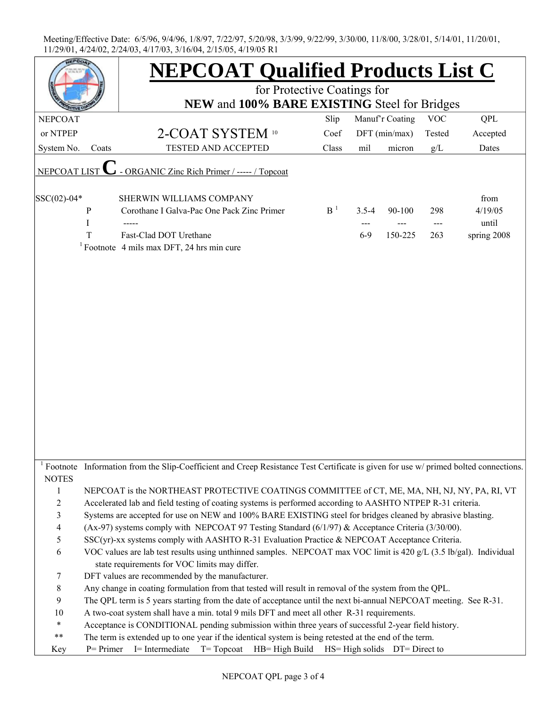|                |                                                                                                                  | <b>NEPCOAT Qualified Products List C</b>                                                                                            |                |           |                 |            |             |  |  |
|----------------|------------------------------------------------------------------------------------------------------------------|-------------------------------------------------------------------------------------------------------------------------------------|----------------|-----------|-----------------|------------|-------------|--|--|
|                |                                                                                                                  | for Protective Coatings for                                                                                                         |                |           |                 |            |             |  |  |
|                |                                                                                                                  | NEW and 100% BARE EXISTING Steel for Bridges                                                                                        |                |           |                 |            |             |  |  |
| <b>NEPCOAT</b> |                                                                                                                  |                                                                                                                                     | Slip           |           | Manuf'r Coating | <b>VOC</b> | QPL         |  |  |
| or NTPEP       |                                                                                                                  | 2-COAT SYSTEM 10                                                                                                                    | Coef           |           | $DFT$ (min/max) | Tested     | Accepted    |  |  |
| System No.     | Coats                                                                                                            | <b>TESTED AND ACCEPTED</b>                                                                                                          | Class          | mil       | micron          | g/L        | Dates       |  |  |
| NEPCOAT LIST   |                                                                                                                  | - ORGANIC Zinc Rich Primer / ----- / Topcoat                                                                                        |                |           |                 |            |             |  |  |
| $ SSC(02)-04*$ |                                                                                                                  | SHERWIN WILLIAMS COMPANY                                                                                                            |                |           |                 |            | from        |  |  |
|                | ${\bf P}$                                                                                                        | Corothane I Galva-Pac One Pack Zinc Primer                                                                                          | B <sup>1</sup> | $3.5 - 4$ | 90-100          | 298        | 4/19/05     |  |  |
|                | $\mathbf I$                                                                                                      |                                                                                                                                     |                | ---       |                 | $---$      | until       |  |  |
|                | T                                                                                                                | Fast-Clad DOT Urethane                                                                                                              |                | $6-9$     | 150-225         | 263        | spring 2008 |  |  |
|                |                                                                                                                  | <sup>1</sup> Footnote 4 mils max DFT, 24 hrs min cure                                                                               |                |           |                 |            |             |  |  |
|                |                                                                                                                  |                                                                                                                                     |                |           |                 |            |             |  |  |
|                |                                                                                                                  |                                                                                                                                     |                |           |                 |            |             |  |  |
|                |                                                                                                                  |                                                                                                                                     |                |           |                 |            |             |  |  |
|                |                                                                                                                  |                                                                                                                                     |                |           |                 |            |             |  |  |
|                |                                                                                                                  |                                                                                                                                     |                |           |                 |            |             |  |  |
|                |                                                                                                                  |                                                                                                                                     |                |           |                 |            |             |  |  |
|                |                                                                                                                  |                                                                                                                                     |                |           |                 |            |             |  |  |
|                |                                                                                                                  |                                                                                                                                     |                |           |                 |            |             |  |  |
|                |                                                                                                                  |                                                                                                                                     |                |           |                 |            |             |  |  |
|                |                                                                                                                  |                                                                                                                                     |                |           |                 |            |             |  |  |
|                |                                                                                                                  |                                                                                                                                     |                |           |                 |            |             |  |  |
|                |                                                                                                                  |                                                                                                                                     |                |           |                 |            |             |  |  |
|                |                                                                                                                  |                                                                                                                                     |                |           |                 |            |             |  |  |
|                |                                                                                                                  |                                                                                                                                     |                |           |                 |            |             |  |  |
|                |                                                                                                                  |                                                                                                                                     |                |           |                 |            |             |  |  |
|                |                                                                                                                  |                                                                                                                                     |                |           |                 |            |             |  |  |
|                |                                                                                                                  |                                                                                                                                     |                |           |                 |            |             |  |  |
|                |                                                                                                                  |                                                                                                                                     |                |           |                 |            |             |  |  |
|                |                                                                                                                  | Footnote Information from the Slip-Coefficient and Creep Resistance Test Certificate is given for use w/ primed bolted connections. |                |           |                 |            |             |  |  |
| <b>NOTES</b>   |                                                                                                                  |                                                                                                                                     |                |           |                 |            |             |  |  |
| $\mathbf{1}$   |                                                                                                                  | NEPCOAT is the NORTHEAST PROTECTIVE COATINGS COMMITTEE of CT, ME, MA, NH, NJ, NY, PA, RI, VT                                        |                |           |                 |            |             |  |  |
| $\overline{c}$ | Accelerated lab and field testing of coating systems is performed according to AASHTO NTPEP R-31 criteria.       |                                                                                                                                     |                |           |                 |            |             |  |  |
| 3              | Systems are accepted for use on NEW and 100% BARE EXISTING steel for bridges cleaned by abrasive blasting.       |                                                                                                                                     |                |           |                 |            |             |  |  |
| 4              | (Ax-97) systems comply with NEPCOAT 97 Testing Standard (6/1/97) & Acceptance Criteria (3/30/00).                |                                                                                                                                     |                |           |                 |            |             |  |  |
| 5              | $SSC(yr)$ -xx systems comply with AASHTO R-31 Evaluation Practice & NEPCOAT Acceptance Criteria.                 |                                                                                                                                     |                |           |                 |            |             |  |  |
| 6              |                                                                                                                  | VOC values are lab test results using unthinned samples. NEPCOAT max VOC limit is 420 g/L (3.5 lb/gal). Individual                  |                |           |                 |            |             |  |  |
|                |                                                                                                                  | state requirements for VOC limits may differ.                                                                                       |                |           |                 |            |             |  |  |
| 7              |                                                                                                                  | DFT values are recommended by the manufacturer.                                                                                     |                |           |                 |            |             |  |  |
| 8              | Any change in coating formulation from that tested will result in removal of the system from the QPL.            |                                                                                                                                     |                |           |                 |            |             |  |  |
| 9              | The QPL term is 5 years starting from the date of acceptance until the next bi-annual NEPCOAT meeting. See R-31. |                                                                                                                                     |                |           |                 |            |             |  |  |
| 10             | A two-coat system shall have a min. total 9 mils DFT and meet all other R-31 requirements.                       |                                                                                                                                     |                |           |                 |            |             |  |  |
| $\ast$         |                                                                                                                  | Acceptance is CONDITIONAL pending submission within three years of successful 2-year field history.                                 |                |           |                 |            |             |  |  |
| $***$          |                                                                                                                  | The term is extended up to one year if the identical system is being retested at the end of the term.                               |                |           |                 |            |             |  |  |
| Key            | $P = Primer$                                                                                                     | I= Intermediate<br>$T = Top coat$ $HB = High Build$ $HS = High solids$ $DT = Direct to$                                             |                |           |                 |            |             |  |  |